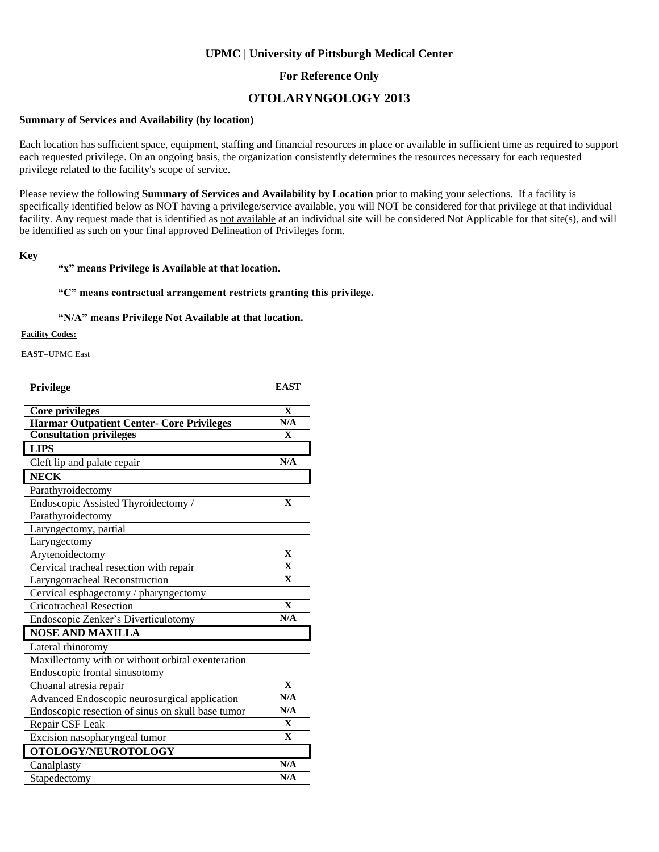### **UPMC | University of Pittsburgh Medical Center**

### **For Reference Only**

## **OTOLARYNGOLOGY 2013**

#### **Summary of Services and Availability (by location)**

Each location has sufficient space, equipment, staffing and financial resources in place or available in sufficient time as required to support each requested privilege. On an ongoing basis, the organization consistently determines the resources necessary for each requested privilege related to the facility's scope of service.

Please review the following **Summary of Services and Availability by Location** prior to making your selections. If a facility is specifically identified below as NOT having a privilege/service available, you will NOT be considered for that privilege at that individual facility. Any request made that is identified as not available at an individual site will be considered Not Applicable for that site(s), and will be identified as such on your final approved Delineation of Privileges form.

#### **Key**

#### **"x" means Privilege is Available at that location.**

#### **"C" means contractual arrangement restricts granting this privilege.**

#### **"N/A" means Privilege Not Available at that location.**

#### **Facility Codes:**

**EAST**=UPMC East

| <b>Privilege</b>                                  | <b>EAST</b>             |
|---------------------------------------------------|-------------------------|
| <b>Core privileges</b>                            | $\mathbf{X}$            |
| Harmar Outpatient Center- Core Privileges         | $\overline{\text{N/A}}$ |
| <b>Consultation privileges</b>                    | $\mathbf X$             |
| <b>LIPS</b>                                       |                         |
| Cleft lip and palate repair                       | N/A                     |
| <b>NECK</b>                                       |                         |
| Parathyroidectomy                                 |                         |
| Endoscopic Assisted Thyroidectomy /               | $\overline{\mathbf{X}}$ |
| Parathyroidectomy                                 |                         |
| Laryngectomy, partial                             |                         |
| Laryngectomy                                      |                         |
| Arytenoidectomy                                   | $\mathbf X$             |
| Cervical tracheal resection with repair           | $\mathbf{X}$            |
| Laryngotracheal Reconstruction                    | $\mathbf{X}$            |
| Cervical esphagectomy / pharyngectomy             |                         |
| <b>Cricotracheal Resection</b>                    | $\overline{\mathbf{X}}$ |
| Endoscopic Zenker's Diverticulotomy               | N/A                     |
| <b>NOSE AND MAXILLA</b>                           |                         |
| Lateral rhinotomy                                 |                         |
| Maxillectomy with or without orbital exenteration |                         |
| Endoscopic frontal sinusotomy                     |                         |
| Choanal atresia repair                            | $\mathbf{X}$            |
| Advanced Endoscopic neurosurgical application     | N/A                     |
| Endoscopic resection of sinus on skull base tumor | N/A                     |
| Repair CSF Leak                                   | $\mathbf{x}$            |
| Excision nasopharyngeal tumor                     | $\mathbf{X}$            |
| OTOLOGY/NEUROTOLOGY                               |                         |
| Canalplasty                                       | N/A                     |
| Stapedectomy                                      | N/A                     |